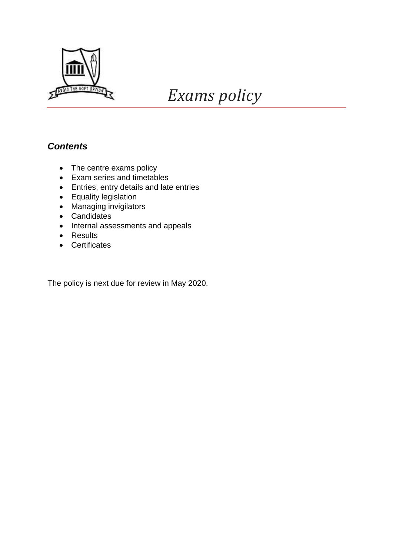

# *Exams policy*

# *Contents*

- The centre exams policy
- Exam series and timetables
- Entries, entry details and late entries
- **•** Equality legislation
- Managing invigilators
- Candidates
- Internal assessments and appeals
- Results
- Certificates

The policy is next due for review in May 2020.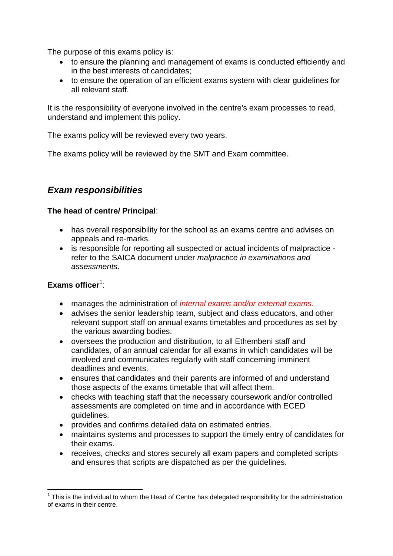The purpose of this exams policy is:

- to ensure the planning and management of exams is conducted efficiently and in the best interests of candidates;
- to ensure the operation of an efficient exams system with clear guidelines for all relevant staff.

It is the responsibility of everyone involved in the centre's exam processes to read, understand and implement this policy.

The exams policy will be reviewed every two years.

The exams policy will be reviewed by the SMT and Exam committee.

## *Exam responsibilities*

#### **The head of centre/ Principal**:

- has overall responsibility for the school as an exams centre and advises on appeals and re-marks.
- is responsible for reporting all suspected or actual incidents of malpractice refer to the SAICA document under *malpractice in examinations and assessments*.

#### Exams officer<sup>1</sup>:

- manages the administration of *internal exams and/or external exams.*
- advises the senior leadership team, subject and class educators, and other relevant support staff on annual exams timetables and procedures as set by the various awarding bodies.
- oversees the production and distribution, to all Ethembeni staff and candidates, of an annual calendar for all exams in which candidates will be involved and communicates regularly with staff concerning imminent deadlines and events.
- ensures that candidates and their parents are informed of and understand those aspects of the exams timetable that will affect them.
- checks with teaching staff that the necessary coursework and/or controlled assessments are completed on time and in accordance with ECED guidelines.
- provides and confirms detailed data on estimated entries.
- maintains systems and processes to support the timely entry of candidates for their exams.
- receives, checks and stores securely all exam papers and completed scripts and ensures that scripts are dispatched as per the guidelines.

**<sup>.</sup>**  $1$  This is the individual to whom the Head of Centre has delegated responsibility for the administration of exams in their centre.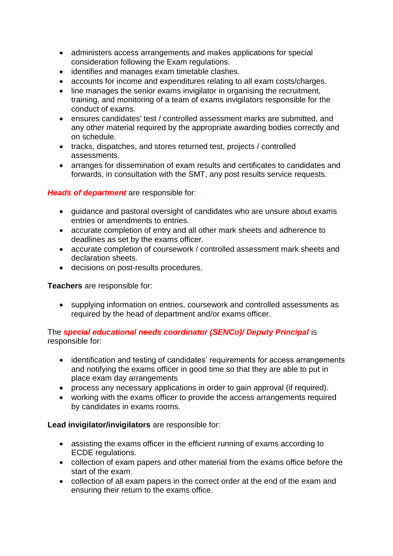- administers access arrangements and makes applications for special consideration following the Exam regulations.
- identifies and manages exam timetable clashes.
- accounts for income and expenditures relating to all exam costs/charges.
- line manages the senior exams invigilator in organising the recruitment, training, and monitoring of a team of exams invigilators responsible for the conduct of exams.
- ensures candidates' test / controlled assessment marks are submitted, and any other material required by the appropriate awarding bodies correctly and on schedule.
- tracks, dispatches, and stores returned test, projects / controlled assessments.
- arranges for dissemination of exam results and certificates to candidates and forwards, in consultation with the SMT, any post results service requests.

#### *Heads of department* are responsible for*:*

- guidance and pastoral oversight of candidates who are unsure about exams entries or amendments to entries.
- accurate completion of entry and all other mark sheets and adherence to deadlines as set by the exams officer.
- accurate completion of coursework / controlled assessment mark sheets and declaration sheets.
- decisions on post-results procedures.

**Teachers** are responsible for:

 supplying information on entries, coursework and controlled assessments as required by the head of department and/or exams officer.

The *special educational needs coordinator (SENCo)/ Deputy Principal* is responsible for:

- identification and testing of candidates' requirements for access arrangements and notifying the exams officer in good time so that they are able to put in place exam day arrangements
- process any necessary applications in order to gain approval (if required).
- working with the exams officer to provide the access arrangements required by candidates in exams rooms.

#### **Lead invigilator/invigilators** are responsible for:

- assisting the exams officer in the efficient running of exams according to ECDE regulations.
- collection of exam papers and other material from the exams office before the start of the exam.
- collection of all exam papers in the correct order at the end of the exam and ensuring their return to the exams office.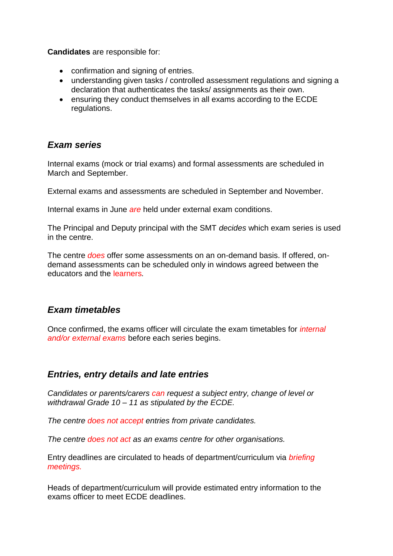**Candidates** are responsible for:

- confirmation and signing of entries.
- understanding given tasks / controlled assessment regulations and signing a declaration that authenticates the tasks/ assignments as their own.
- ensuring they conduct themselves in all exams according to the ECDE regulations.

## *Exam series*

Internal exams (mock or trial exams) and formal assessments are scheduled in March and September.

External exams and assessments are scheduled in September and November.

Internal exams in June *are* held under external exam conditions.

The Principal and Deputy principal with the SMT *decides* which exam series is used in the centre.

The centre *does* offer some assessments on an on-demand basis. If offered, ondemand assessments can be scheduled only in windows agreed between the educators and the learners*.*

## *Exam timetables*

Once confirmed, the exams officer will circulate the exam timetables for *internal and/or external exams* before each series begins.

## *Entries, entry details and late entries*

*Candidates or parents/carers can request a subject entry, change of level or withdrawal Grade 10 – 11 as stipulated by the ECDE.*

*The centre does not accept entries from private candidates.*

*The centre does not act as an exams centre for other organisations.*

Entry deadlines are circulated to heads of department/curriculum via *briefing meetings.*

Heads of department/curriculum will provide estimated entry information to the exams officer to meet ECDE deadlines.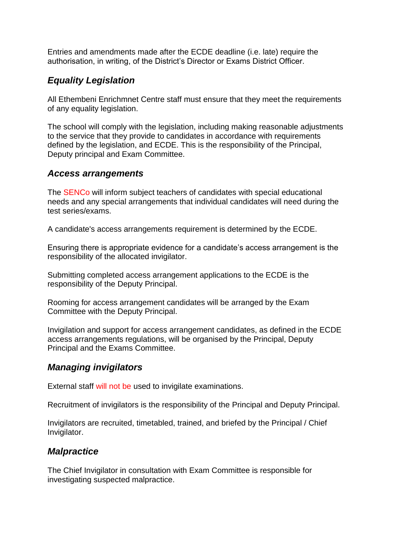Entries and amendments made after the ECDE deadline (i.e. late) require the authorisation, in writing, of the District's Director or Exams District Officer.

## *Equality Legislation*

All Ethembeni Enrichmnet Centre staff must ensure that they meet the requirements of any equality legislation.

The school will comply with the legislation, including making reasonable adjustments to the service that they provide to candidates in accordance with requirements defined by the legislation, and ECDE. This is the responsibility of the Principal, Deputy principal and Exam Committee.

## *Access arrangements*

The SENCo will inform subject teachers of candidates with special educational needs and any special arrangements that individual candidates will need during the test series/exams.

A candidate's access arrangements requirement is determined by the ECDE.

Ensuring there is appropriate evidence for a candidate's access arrangement is the responsibility of the allocated invigilator.

Submitting completed access arrangement applications to the ECDE is the responsibility of the Deputy Principal.

Rooming for access arrangement candidates will be arranged by the Exam Committee with the Deputy Principal.

Invigilation and support for access arrangement candidates, as defined in the ECDE access arrangements regulations, will be organised by the Principal, Deputy Principal and the Exams Committee.

## *Managing invigilators*

External staff will not be used to invigilate examinations.

Recruitment of invigilators is the responsibility of the Principal and Deputy Principal.

Invigilators are recruited, timetabled, trained, and briefed by the Principal / Chief Invigilator.

## *Malpractice*

The Chief Invigilator in consultation with Exam Committee is responsible for investigating suspected malpractice.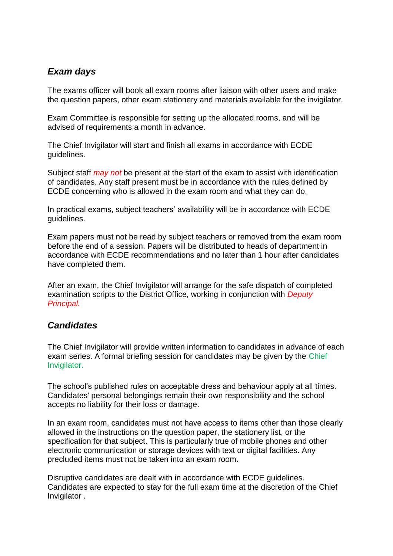## *Exam days*

The exams officer will book all exam rooms after liaison with other users and make the question papers, other exam stationery and materials available for the invigilator.

Exam Committee is responsible for setting up the allocated rooms, and will be advised of requirements a month in advance.

The Chief Invigilator will start and finish all exams in accordance with ECDE guidelines.

Subject staff *may not* be present at the start of the exam to assist with identification of candidates. Any staff present must be in accordance with the rules defined by ECDE concerning who is allowed in the exam room and what they can do.

In practical exams, subject teachers' availability will be in accordance with ECDE guidelines.

Exam papers must not be read by subject teachers or removed from the exam room before the end of a session. Papers will be distributed to heads of department in accordance with ECDE recommendations and no later than 1 hour after candidates have completed them.

After an exam, the Chief Invigilator will arrange for the safe dispatch of completed examination scripts to the District Office, working in conjunction with *Deputy Principal.*

## *Candidates*

The Chief Invigilator will provide written information to candidates in advance of each exam series. A formal briefing session for candidates may be given by the Chief Invigilator.

The school's published rules on acceptable dress and behaviour apply at all times. Candidates' personal belongings remain their own responsibility and the school accepts no liability for their loss or damage.

In an exam room, candidates must not have access to items other than those clearly allowed in the instructions on the question paper, the stationery list, or the specification for that subject. This is particularly true of mobile phones and other electronic communication or storage devices with text or digital facilities. Any precluded items must not be taken into an exam room.

Disruptive candidates are dealt with in accordance with ECDE guidelines. Candidates are expected to stay for the full exam time at the discretion of the Chief Invigilator .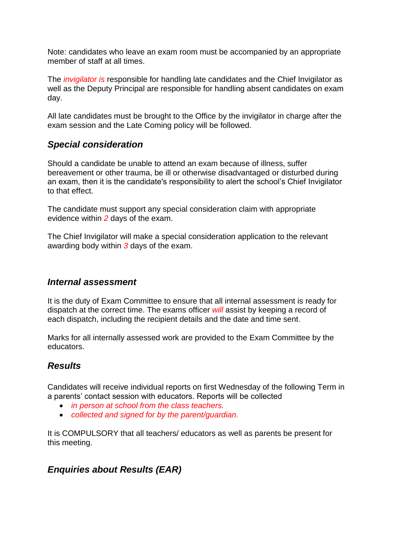Note: candidates who leave an exam room must be accompanied by an appropriate member of staff at all times.

The *invigilator is* responsible for handling late candidates and the Chief Invigilator as well as the Deputy Principal are responsible for handling absent candidates on exam day.

All late candidates must be brought to the Office by the invigilator in charge after the exam session and the Late Coming policy will be followed.

## *Special consideration*

Should a candidate be unable to attend an exam because of illness, suffer bereavement or other trauma, be ill or otherwise disadvantaged or disturbed during an exam, then it is the candidate's responsibility to alert the school's Chief Invigilator to that effect.

The candidate must support any special consideration claim with appropriate evidence within *2* days of the exam.

The Chief Invigilator will make a special consideration application to the relevant awarding body within *3* days of the exam.

#### *Internal assessment*

It is the duty of Exam Committee to ensure that all internal assessment is ready for dispatch at the correct time. The exams officer *will* assist by keeping a record of each dispatch, including the recipient details and the date and time sent.

Marks for all internally assessed work are provided to the Exam Committee by the educators.

## *Results*

Candidates will receive individual reports on first Wednesday of the following Term in a parents' contact session with educators. Reports will be collected

- *in person at school from the class teachers.*
- *collected and signed for by the parent/guardian.*

It is COMPULSORY that all teachers/ educators as well as parents be present for this meeting.

## *Enquiries about Results (EAR)*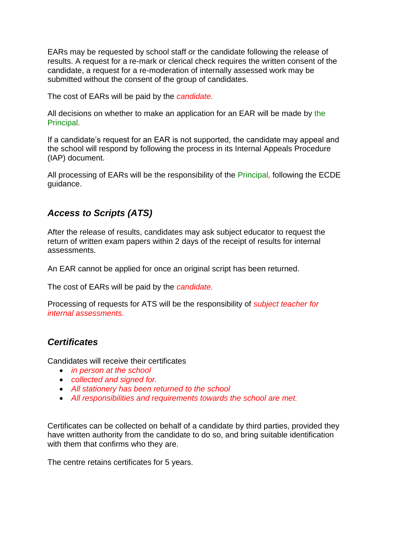EARs may be requested by school staff or the candidate following the release of results. A request for a re-mark or clerical check requires the written consent of the candidate, a request for a re-moderation of internally assessed work may be submitted without the consent of the group of candidates.

The cost of EARs will be paid by the *candidate.*

All decisions on whether to make an application for an EAR will be made by the Principal.

If a candidate's request for an EAR is not supported, the candidate may appeal and the school will respond by following the process in its Internal Appeals Procedure (IAP) document.

All processing of EARs will be the responsibility of the Principal*,* following the ECDE guidance.

## *Access to Scripts (ATS)*

After the release of results, candidates may ask subject educator to request the return of written exam papers within 2 days of the receipt of results for internal assessments.

An EAR cannot be applied for once an original script has been returned.

The cost of EARs will be paid by the *candidate.*

Processing of requests for ATS will be the responsibility of *subject teacher for internal assessments.*

## *Certificates*

Candidates will receive their certificates

- *in person at the school*
- *collected and signed for.*
- *All stationery has been returned to the school*
- *All responsibilities and requirements towards the school are met.*

Certificates can be collected on behalf of a candidate by third parties, provided they have written authority from the candidate to do so, and bring suitable identification with them that confirms who they are.

The centre retains certificates for 5 years.